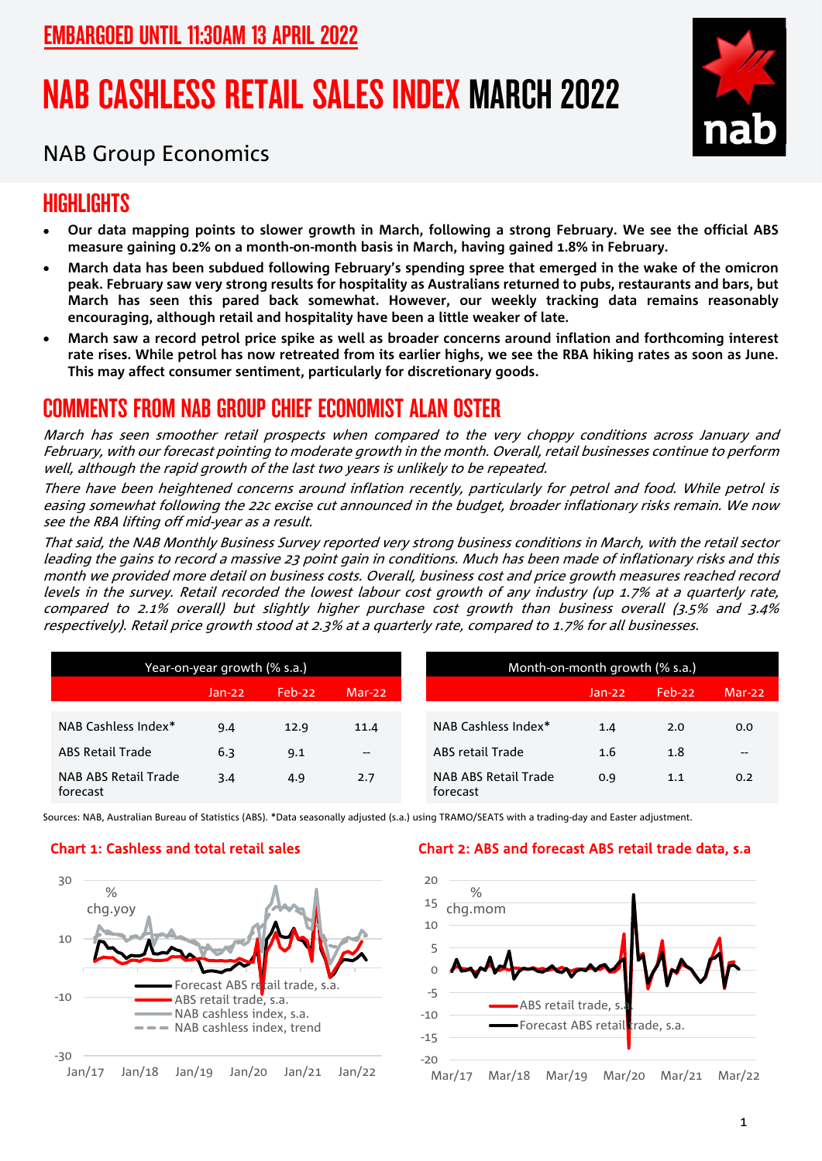# NAB CASHLESS RETAIL SALES INDEX MARCH 2022



### NAB Group Economics

## HIGHI IGHTS

- **Our data mapping points to slower growth in March, following a strong February. We see the official ABS measure gaining 0.2% on a month-on-month basis in March, having gained 1.8% in February.**
- **March data has been subdued following February's spending spree that emerged in the wake of the omicron peak. February saw very strong results for hospitality as Australians returned to pubs, restaurants and bars, but March has seen this pared back somewhat. However, our weekly tracking data remains reasonably encouraging, although retail and hospitality have been a little weaker of late.**
- **March saw a record petrol price spike as well as broader concerns around inflation and forthcoming interest rate rises. While petrol has now retreated from its earlier highs, we see the RBA hiking rates as soon as June. This may affect consumer sentiment, particularly for discretionary goods.**

### COMMENTS FROM NAB GROUP CHIEF ECONOMIST ALAN OSTER

March has seen smoother retail prospects when compared to the very choppy conditions across January and February, with our forecast pointing to moderate growth in the month. Overall, retail businesses continue to perform well, although the rapid growth of the last two years is unlikely to be repeated.

There have been heightened concerns around inflation recently, particularly for petrol and food. While petrol is easing somewhat following the 22c excise cut announced in the budget, broader inflationary risks remain. We now see the RBA lifting off mid-year as a result.

That said, the NAB Monthly Business Survey reported very strong business conditions in March, with the retail sector leading the gains to record a massive 23 point gain in conditions. Much has been made of inflationary risks and this month we provided more detail on business costs. Overall, business cost and price growth measures reached record levels in the survey. Retail recorded the lowest labour cost growth of any industry (up 1.7% at a quarterly rate, compared to 2.1% overall) but slightly higher purchase cost growth than business overall (3.5% and 3.4% respectively). Retail price growth stood at 2.3% at a quarterly rate, compared to 1.7% for all businesses.

| Year-on-year growth (% s.a.)     |          |        |        | Month-on-month growth (% s.a.)                               |  |  |
|----------------------------------|----------|--------|--------|--------------------------------------------------------------|--|--|
|                                  | $Jan-22$ | Feb-22 | Mar-22 | Feb-22<br>$Mar-22$<br>$Jan-22$                               |  |  |
| NAB Cashless Index*              | 9.4      | 12.9   | 11.4   | NAB Cashless Index*<br>0.0<br>1.4<br>2.0                     |  |  |
| <b>ABS Retail Trade</b>          | 6.3      | 9.1    | $-$    | ABS retail Trade<br>1.6<br>1.8<br>--                         |  |  |
| NAB ABS Retail Trade<br>forecast | 3.4      | 4.9    | 2.7    | <b>NAB ABS Retail Trade</b><br>0.9<br>1.1<br>0.2<br>forecast |  |  |

Sources: NAB, Australian Bureau of Statistics (ABS). \*Data seasonally adjusted (s.a.) using TRAMO/SEATS with a trading-day and Easter adjustment.



### Chart 1: Cashless and total retail sales Chart 2: ABS and forecast ABS retail trade data, s.a

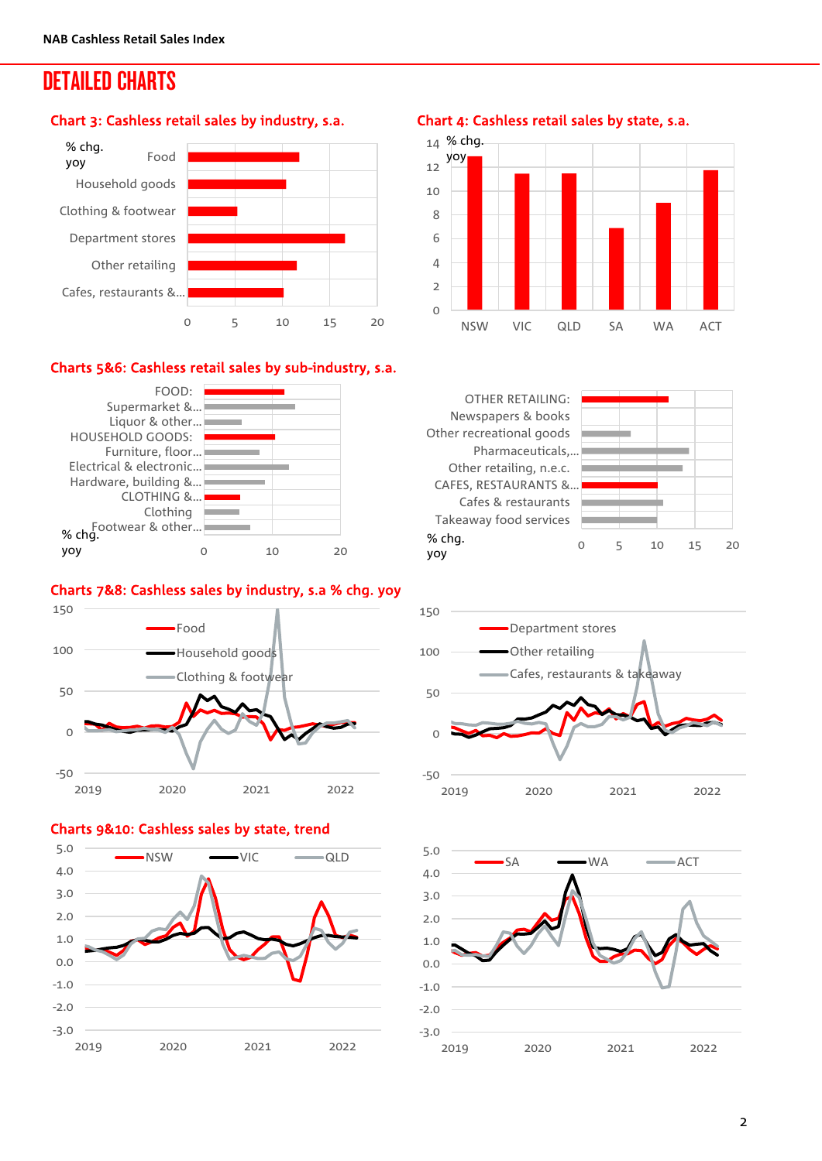### DETAILED CHARTS

#### Chart 3: Cashless retail sales by industry, s.a.



### Charts 5&6: Cashless retail sales by sub-industry, s.a.



### Charts 7&8: Cashless sales by industry, s.a % chg. yoy



#### Charts 9&10: Cashless sales by state, trend



Chart 4: Cashless retail sales by state, s.a.







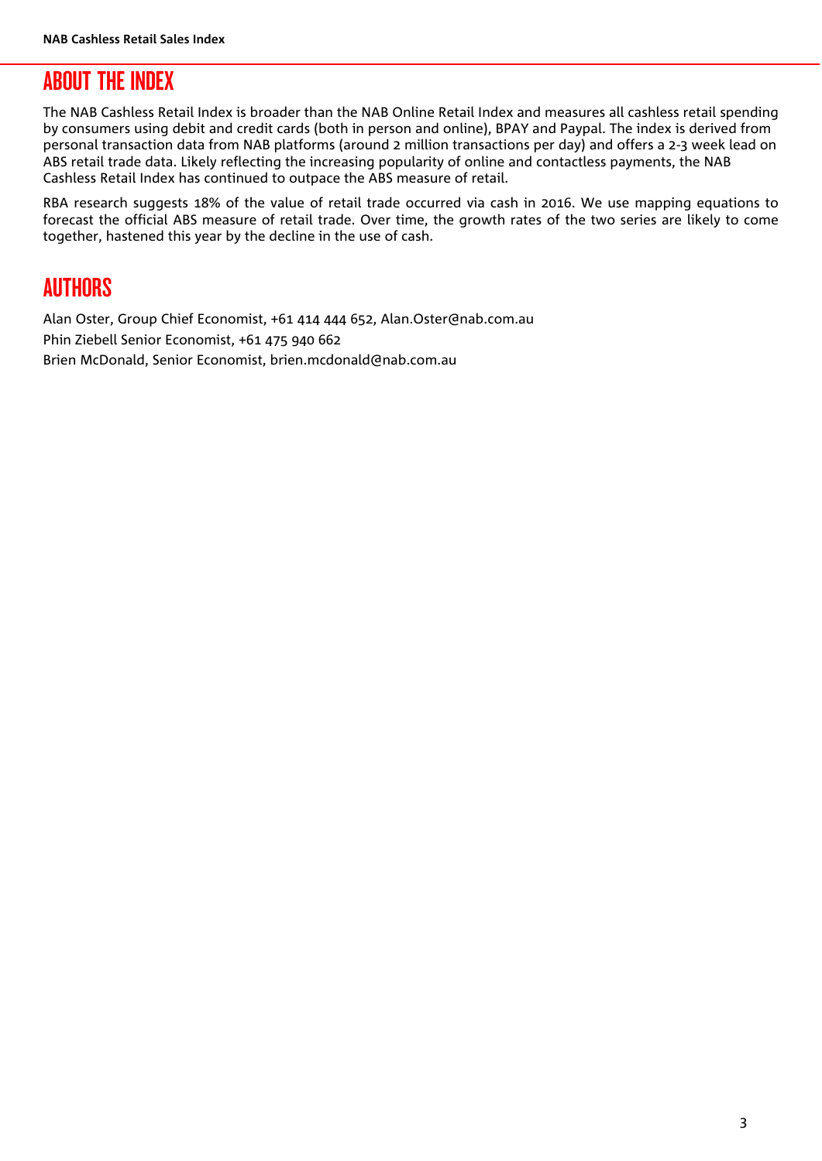### ABOUT THE INDEX

The NAB Cashless Retail Index is broader than the NAB Online Retail Index and measures all cashless retail spending by consumers using debit and credit cards (both in person and online), BPAY and Paypal. The index is derived from personal transaction data from NAB platforms (around 2 million transactions per day) and offers a 2-3 week lead on ABS retail trade data. Likely reflecting the increasing popularity of online and contactless payments, the NAB Cashless Retail Index has continued to outpace the ABS measure of retail.

RBA research suggests 18% of the value of retail trade occurred via cash in 2016. We use mapping equations to forecast the official ABS measure of retail trade. Over time, the growth rates of the two series are likely to come together, hastened this year by the decline in the use of cash.

### AUTHORS

Alan Oster, Group Chief Economist, +61 414 444 652, Alan.Oster@nab.com.au Phin Ziebell Senior Economist, +61 475 940 662 Brien McDonald, Senior Economist, brien.mcdonald@nab.com.au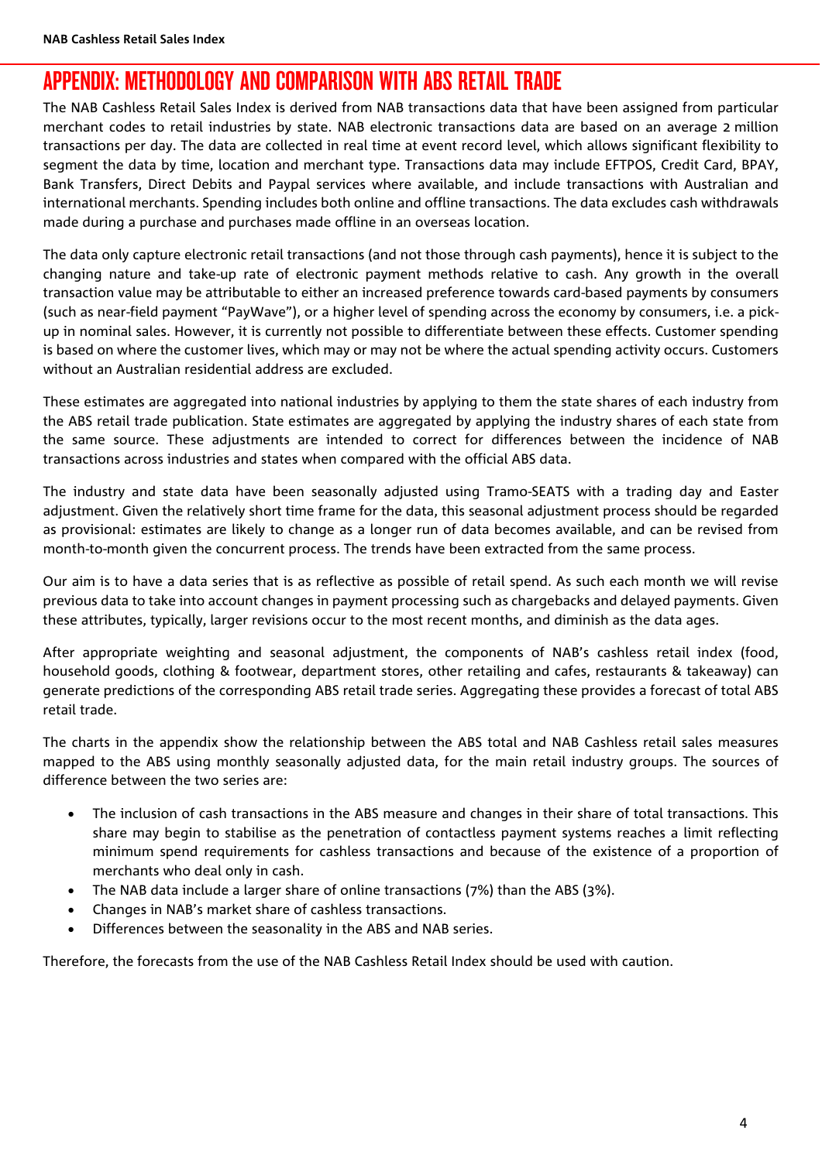### APPENDIX: METHODOLOGY AND COMPARISON WITH ABS RETAIL TRADE

The NAB Cashless Retail Sales Index is derived from NAB transactions data that have been assigned from particular merchant codes to retail industries by state. NAB electronic transactions data are based on an average 2 million transactions per day. The data are collected in real time at event record level, which allows significant flexibility to segment the data by time, location and merchant type. Transactions data may include EFTPOS, Credit Card, BPAY, Bank Transfers, Direct Debits and Paypal services where available, and include transactions with Australian and international merchants. Spending includes both online and offline transactions. The data excludes cash withdrawals made during a purchase and purchases made offline in an overseas location.

The data only capture electronic retail transactions (and not those through cash payments), hence it is subject to the changing nature and take-up rate of electronic payment methods relative to cash. Any growth in the overall transaction value may be attributable to either an increased preference towards card-based payments by consumers (such as near-field payment "PayWave"), or a higher level of spending across the economy by consumers, i.e. a pickup in nominal sales. However, it is currently not possible to differentiate between these effects. Customer spending is based on where the customer lives, which may or may not be where the actual spending activity occurs. Customers without an Australian residential address are excluded.

These estimates are aggregated into national industries by applying to them the state shares of each industry from the ABS retail trade publication. State estimates are aggregated by applying the industry shares of each state from the same source. These adjustments are intended to correct for differences between the incidence of NAB transactions across industries and states when compared with the official ABS data.

The industry and state data have been seasonally adjusted using Tramo-SEATS with a trading day and Easter adjustment. Given the relatively short time frame for the data, this seasonal adjustment process should be regarded as provisional: estimates are likely to change as a longer run of data becomes available, and can be revised from month-to-month given the concurrent process. The trends have been extracted from the same process.

Our aim is to have a data series that is as reflective as possible of retail spend. As such each month we will revise previous data to take into account changes in payment processing such as chargebacks and delayed payments. Given these attributes, typically, larger revisions occur to the most recent months, and diminish as the data ages.

After appropriate weighting and seasonal adjustment, the components of NAB's cashless retail index (food, household goods, clothing & footwear, department stores, other retailing and cafes, restaurants & takeaway) can generate predictions of the corresponding ABS retail trade series. Aggregating these provides a forecast of total ABS retail trade.

The charts in the appendix show the relationship between the ABS total and NAB Cashless retail sales measures mapped to the ABS using monthly seasonally adjusted data, for the main retail industry groups. The sources of difference between the two series are:

- The inclusion of cash transactions in the ABS measure and changes in their share of total transactions. This share may begin to stabilise as the penetration of contactless payment systems reaches a limit reflecting minimum spend requirements for cashless transactions and because of the existence of a proportion of merchants who deal only in cash.
- The NAB data include a larger share of online transactions (7%) than the ABS (3%).
- Changes in NAB's market share of cashless transactions.
- Differences between the seasonality in the ABS and NAB series.

Therefore, the forecasts from the use of the NAB Cashless Retail Index should be used with caution.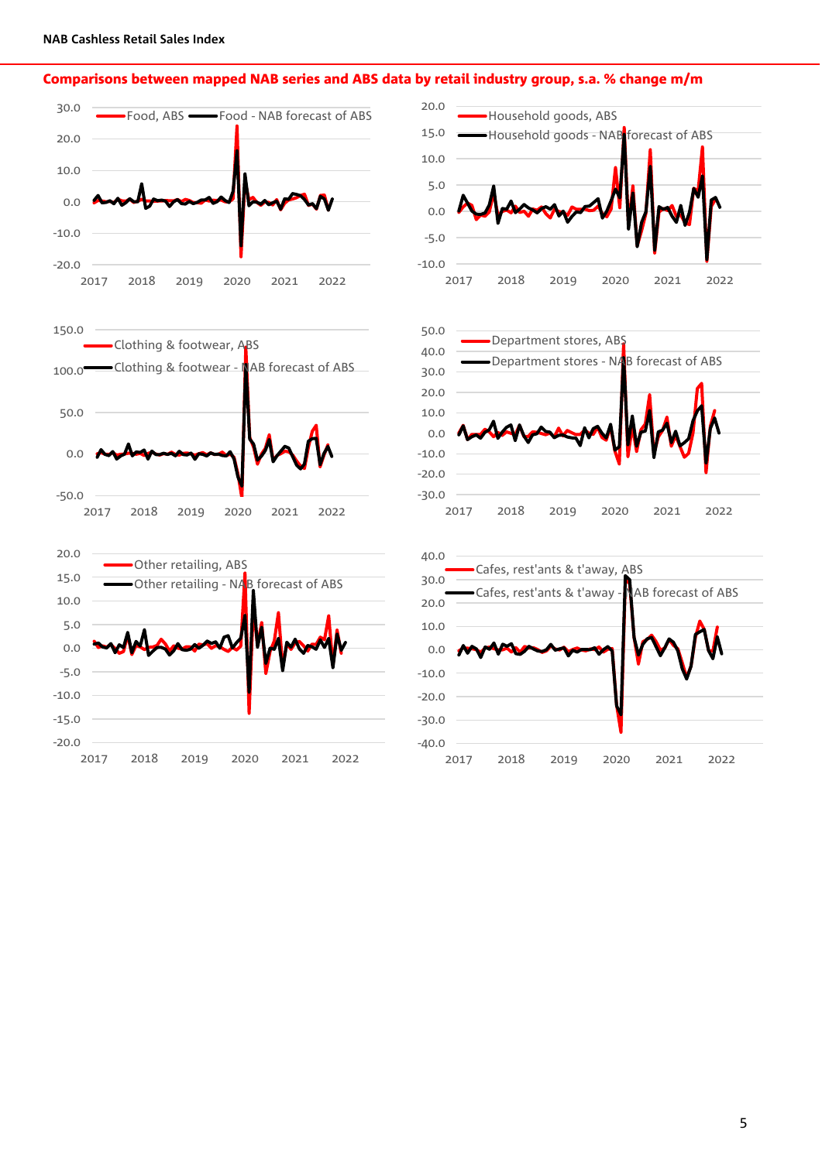#### Comparisons between mapped NAB series and ABS data by retail industry group, s.a. % change m/m